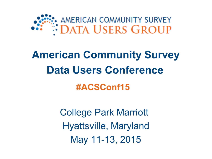

# **American Community Survey Data Users Conference**

**#ACSConf15** 

**College Park Marriott** Hyattsville, Maryland May 11-13, 2015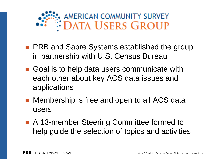

- **PRB and Sabre Systems established the group** in partnership with U.S. Census Bureau
- Goal is to help data users communicate with each other about key ACS data issues and applications
- Membership is free and open to all ACS data users
- A 13-member Steering Committee formed to help guide the selection of topics and activities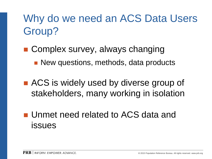### Why do we need an ACS Data Users Group?

- Complex survey, always changing
	- **New questions, methods, data products**
- **ACS** is widely used by diverse group of stakeholders, many working in isolation
- **Unmet need related to ACS data and** issues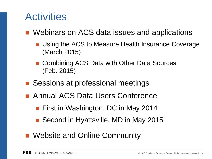### **Activities**

■ Webinars on ACS data issues and applications

- **Using the ACS to Measure Health Insurance Coverage** (March 2015)
- Combining ACS Data with Other Data Sources (Feb. 2015)
- Sessions at professional meetings
- Annual ACS Data Users Conference
	- **First in Washington, DC in May 2014**
	- Second in Hyattsville, MD in May 2015
- Website and Online Community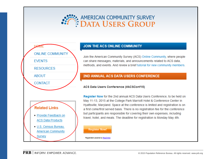



#### **JOIN THE ACS ONLINE COMMUNITY**

Join the American Community Survey (ACS) Online Community, where people can share messages, materials, and announcements related to ACS data, methods, and events. And review a brief tutorial for new community members.

#### 2ND ANNUAL ACS DATA USERS CONFERENCE

#### ACS Data Users Conference (#ACSConf15)

Register Now for the 2nd annual ACS Data Users Conference, to be held on May 11-13, 2015 at the College Park Marriott Hotel & Conference Center in Hyattsville, Maryland. Space at the conference is limited and registration is on a first come/first served basis. There is no registration fee for the conference but participants are responsible for covering their own expenses, including travel, hotel, and meals. The deadline for registration is Monday May 4th.

#### **Register Now!**

Registration powered by RegOnline